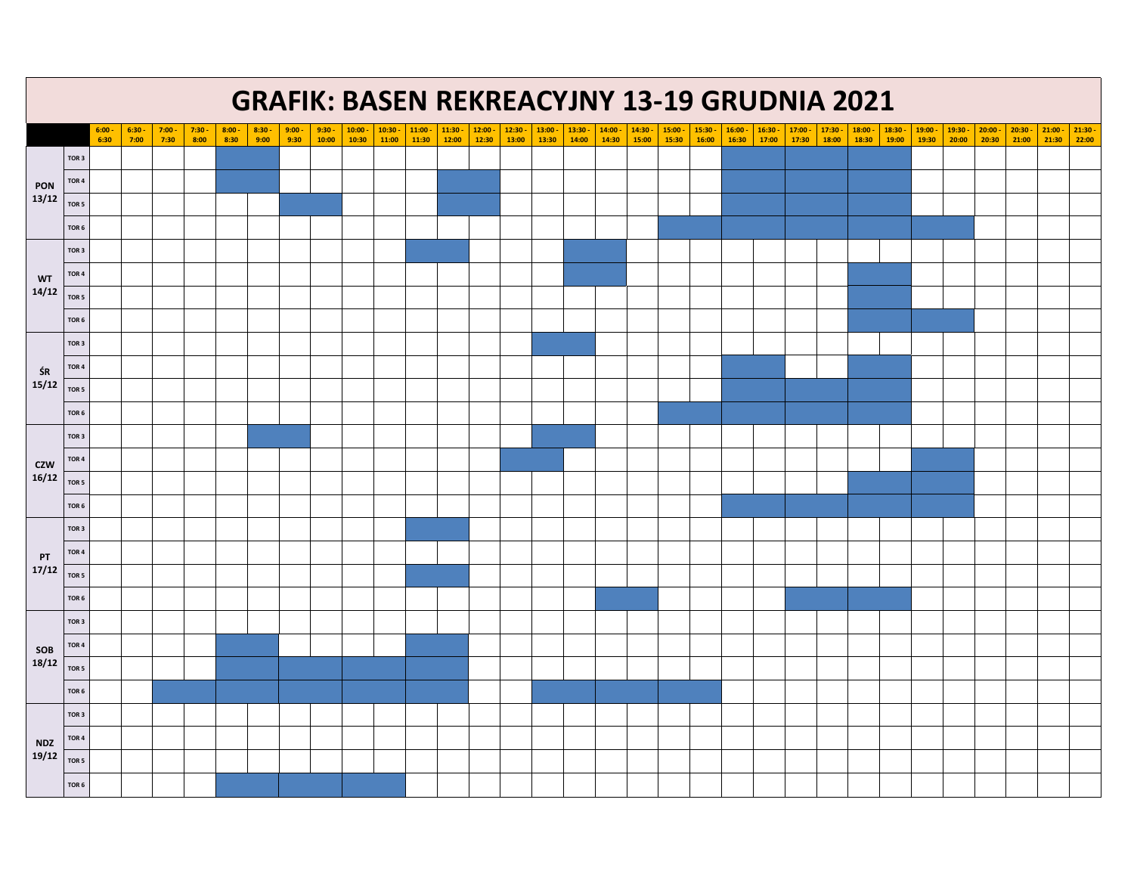